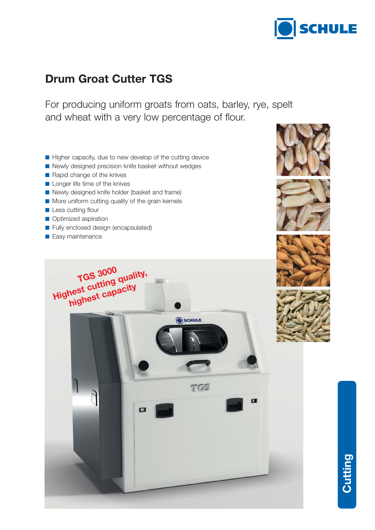

# **Drum Groat Cutter TGS**

For producing uniform groats from oats, barley, rye, spelt and wheat with a very low percentage of flour.

- Higher capacity, due to new develop of the cutting device
- Newly designed precision knife basket without wedges
- Rapid change of the knives
- Longer life time of the knives
- Newly designed knife holder (basket and frame)
- More uniform cutting quality of the grain kernels
- Less cutting flour
- Optimized aspiration
- Fully enclosed design (encapsulated)
- Easy maintenance